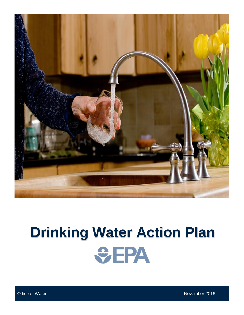

# **Drinking Water Action Plan SEPA**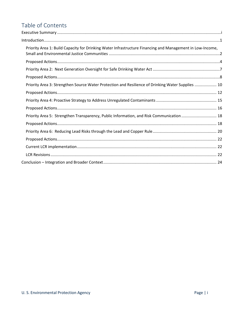# Table of Contents

<span id="page-1-0"></span>

| Priority Area 1: Build Capacity for Drinking Water Infrastructure Financing and Management in Low-Income, |
|-----------------------------------------------------------------------------------------------------------|
|                                                                                                           |
|                                                                                                           |
|                                                                                                           |
| Priority Area 3: Strengthen Source Water Protection and Resilience of Drinking Water Supplies  10         |
|                                                                                                           |
|                                                                                                           |
|                                                                                                           |
| Priority Area 5: Strengthen Transparency, Public Information, and Risk Communication  18                  |
|                                                                                                           |
|                                                                                                           |
|                                                                                                           |
|                                                                                                           |
|                                                                                                           |
|                                                                                                           |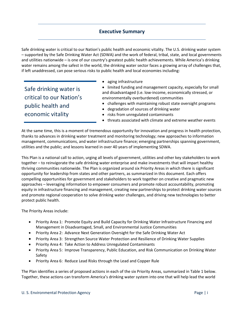## **Executive Summary**

Safe drinking water is critical to our Nation's public health and economic vitality. The U.S. drinking water system – supported by the Safe Drinking Water Act (SDWA) and the work of federal, tribal, state, and local governments and utilities nationwide – is one of our country's greatest public health achievements. While America's drinking water remains among the safest in the world, the drinking water sector faces a growing array of challenges that, if left unaddressed, can pose serious risks to public health and local economies including:

Safe drinking water is critical to our Nation's public health and economic vitality

• aging infrastructure

• limited funding and management capacity, especially for small and disadvantaged (i.e. low-income, economically stressed, or environmentally overburdened) communities

- challenges with maintaining robust state oversight programs
- degradation of sources of drinking water
- risks from unregulated contaminants
- threats associated with climate and extreme weather events

At the same time, this is a moment of tremendous opportunity for innovation and progress in health protection, thanks to advances in drinking water treatment and monitoring technology; new approaches to information management, communications, and water infrastructure finance; emerging partnerships spanning government, utilities and the public; and lessons learned in over 40 years of implementing SDWA.

This Plan is a national call to action, urging all levels of government, utilities and other key stakeholders to work together – to reinvigorate the safe drinking water enterprise and make investments that will impart healthy thriving communities nationwide. The Plan is organized around six Priority Areas in which there is significant opportunity for leadership from states and other partners, as summarized in this document. Each offers compelling opportunities for government and stakeholders to work together on creative and pragmatic new approaches – leveraging information to empower consumers and promote robust accountability, promoting equity in infrastructure financing and management, creating new partnerships to protect drinking water sources and promote regional cooperation to solve drinking water challenges, and driving new technologies to better protect public health.

The Priority Areas include:

- Priority Area 1: Promote Equity and Build Capacity for Drinking Water Infrastructure Financing and Management in Disadvantaged, Small, and Environmental Justice Communities
- Priority Area 2: Advance Next Generation Oversight for the Safe Drinking Water Act
- Priority Area 3: Strengthen Source Water Protection and Resilience of Drinking Water Supplies
- Priority Area 4: Take Action to Address Unregulated Contaminants
- Priority Area 5: Improve Transparency, Public Education, and Risk Communication on Drinking Water Safety
- Priority Area 6: Reduce Lead Risks through the Lead and Copper Rule

The Plan identifies a series of proposed actions in each of the six Priority Areas, summarized in Table 1 below. Together, these actions can transform America's drinking water system into one that will help lead the world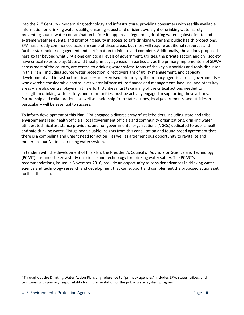into the 21<sup>st</sup> Century - modernizing technology and infrastructure, providing consumers with readily available information on drinking water quality, ensuring robust and efficient oversight of drinking water safety, preventing source water contamination before it happens, safeguarding drinking water against climate and extreme weather events, and promoting equity in access to safe drinking water and public health protections. EPA has already commenced action in some of these areas, but most will require additional resources and further stakeholder engagement and participation to initiate and complete. Additionally, the actions proposed here go far beyond what EPA alone can do; all levels of government, utilities, the private sector, and civil society have critical roles to play. State and tribal primacy agencies<sup>[1](#page-3-0)</sup> in particular, as the primary implementers of SDWA across most of the country, are central to drinking water safety. Many of the key authorities and tools discussed in this Plan – including source water protection, direct oversight of utility management, and capacity development and infrastructure finance – are exercised primarily by the primacy agencies. Local governments – who exercise considerable control over water infrastructure finance and management, land use, and other key areas – are also central players in this effort. Utilities must take many of the critical actions needed to strengthen drinking water safety, and communities must be actively engaged in supporting these actions. Partnership and collaboration – as well as leadership from states, tribes, local governments, and utilities in particular – will be essential to success.

To inform development of this Plan, EPA engaged a diverse array of stakeholders, including state and tribal environmental and health officials, local government officials and community organizations, drinking water utilities, technical assistance providers, and nongovernmental organizations (NGOs) dedicated to public health and safe drinking water. EPA gained valuable insights from this consultation and found broad agreement that there is a compelling and urgent need for action – as well as a tremendous opportunity to revitalize and modernize our Nation's drinking water system.

In tandem with the development of this Plan, the President's Council of Advisors on Science and Technology (PCAST) has undertaken a study on science and technology for drinking water safety. The PCAST's recommendations, issued in November 2016, provide an opportunity to consider advances in drinking water science and technology research and development that can support and complement the proposed actions set forth in this plan.

<span id="page-3-0"></span><sup>&</sup>lt;sup>1</sup> Throughout the Drinking Water Action Plan, any reference to "primacy agencies" includes EPA, states, tribes, and territories with primary responsibility for implementation of the public water system program.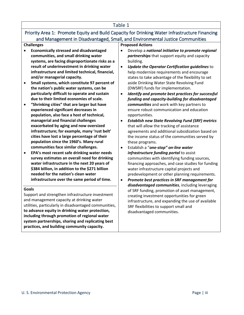#### Table 1

## Priority Area 1: Promote Equity and Build Capacity for Drinking Water Infrastructure Financing and Management in Disadvantaged, Small, and Environmental Justice Communities

#### **Challenges**

- **Economically stressed and disadvantaged communities, and small drinking water systems, are facing disproportionate risks as a result of underinvestment in drinking water infrastructure and limited technical, financial, and/or managerial capacity.**
- **Small systems, which constitute 97 percent of the nation's public water systems, can be particularly difficult to operate and sustain due to their limited economies of scale.**
- **"Shrinking cities" that are larger but have experienced significant decreases in population, also face a host of technical, managerial and financial challenges exacerbated by aging and now oversized infrastructure; for example, many 'rust belt' cities have lost a large percentage of their population since the 1960's. Many rural communities face similar challenges.**
- **EPA's most recent safe drinking water needs survey estimates an overall need for drinking water infrastructure in the next 20 years of \$384 billion, in addition to the \$271 billion needed for the nation's clean water infrastructure over the same period of time.**

#### **Goals**

Support and strengthen infrastructure investment and management capacity at drinking water utilities, particularly in disadvantaged communities, **to advance equity in drinking water protection, including through promotion of regional water system partnerships, sharing and replicating best practices, and building community capacity.**

#### **Proposed Actions**

- Develop a *national initiative to promote regional partnerships* that support equity and capacity building.
- *Update the Operator Certification guidelines* to help modernize requirements and encourage states to take advantage of the flexibility to set aside Drinking Water State Revolving Fund (DWSRF) funds for implementation.
- *Identify and promote best practices for successful funding and capacity-building for disadvantaged communities* and work with key partners to ensure robust communication and education opportunities.
- *Establish new State Revolving Fund (SRF) metrics* that will allow the tracking of assistance agreements and additional subsidization based on the income status of the communities served by these programs.
- Establish a "*one-stop" on-line water infrastructure funding portal* to assist communities with identifying funding sources, financing approaches, and case studies for funding water infrastructure capital projects and predevelopment or other planning requirements.
- *Promote best practices in SRF management for disadvantaged communities*, including leveraging of SRF funding, promotion of asset management, creating investment opportunities for green infrastructure, and expanding the use of available SRF flexibilities to support small and disadvantaged communities.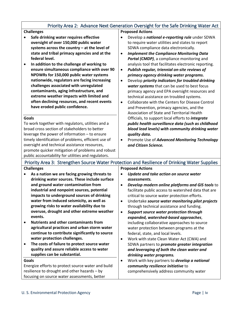## Priority Area 2: Advance Next Generation Oversight for the Safe Drinking Water Act

#### **Challenges**

- **Safe drinking water requires effective oversight of over 150,000 public water systems across the country – at the level of state and tribal primacy agencies and at the federal level.**
- **In addition to the challenge of working to ensure simultaneous compliance with over 90 NPDWRs for 150,000 public water systems nationwide, regulators are facing increasing challenges associated with unregulated contaminants, aging infrastructure, and extreme weather impacts with limited and often declining resources, and recent events have eroded public confidence.**

#### **Goals**

To work together with regulators, utilities and a broad cross section of stakeholders to better leverage the power of information – to ensure timely identification of problems, efficient use of oversight and technical assistance resources, promote quicker mitigation of problems and robust public accountability for utilities and regulators.

#### **Proposed Actions**

- Develop a *national e-reporting rule* under SDWA to require water utilities and states to report SDWA compliance data electronically.
- *Implement the Compliance Monitoring Data*  **Portal (CMDP)**, a compliance monitoring and analysis tool that facilitates electronic reporting.
- *Publish regular, triennial on-site reviews of primacy agency drinking water programs.*
- Develop *priority indicators for troubled drinking water systems* that can be used to best focus primacy agency and EPA oversight resources and technical assistance on troubled systems.
- Collaborate with the Centers for Disease Control and Prevention, primacy agencies, and the Association of State and Territorial Health Officials, to support local efforts to *integrate public health surveillance data (such as childhood blood lead levels) with community drinking water quality data.*
- Promote Use of *Advanced Monitoring Technology and Citizen Science.*

| Priority Area 3: Strengthen Source Water Protection and Resilience of Drinking Water Supplies                                                               |                                                                                                                                                                                                                                                                                                                                                                           |                                                                                                                                                                                                                                                                                                                                                                                         |  |
|-------------------------------------------------------------------------------------------------------------------------------------------------------------|---------------------------------------------------------------------------------------------------------------------------------------------------------------------------------------------------------------------------------------------------------------------------------------------------------------------------------------------------------------------------|-----------------------------------------------------------------------------------------------------------------------------------------------------------------------------------------------------------------------------------------------------------------------------------------------------------------------------------------------------------------------------------------|--|
| <b>Challenges</b>                                                                                                                                           |                                                                                                                                                                                                                                                                                                                                                                           | <b>Proposed Actions</b>                                                                                                                                                                                                                                                                                                                                                                 |  |
|                                                                                                                                                             | As a nation we are facing growing threats to<br>drinking water sources. These include surface<br>and ground water contamination from<br>industrial and nonpoint sources, potential<br>impacts to underground sources of drinking<br>water from induced seismicity, as well as<br>growing risks to water availability due to<br>overuse, drought and other extreme weather | Update and take action on source water<br>assessments.<br>Develop modern online platforms and GIS tools to<br>$\bullet$<br>facilitate public access to watershed data that are<br>critical to source water protection efforts.<br>Undertake source water monitoring pilot projects<br>$\bullet$<br>through technical assistance and funding.<br>Support source water protection through |  |
|                                                                                                                                                             | events.<br><b>Nutrients and other contaminants from</b><br>agricultural practices and urban storm water<br>continue to contribute significantly to source<br>water protection challenges.<br>The costs of failure to protect source water<br>quality and assure reliable access to water<br>supplies can be substantial.                                                  | expanded, watershed-based approaches,<br>including collaborative approaches to source<br>water protection between programs at the<br>federal, state, and local levels.<br>Work with state Clean Water Act (CWA) and<br>SDWA partners to <i>promote greater integration</i><br>and leveraging of both the clean water and<br>drinking water programs.                                    |  |
| Goals<br>Energize efforts to protect source water and build<br>resilience to drought and other hazards - by<br>focusing on source water assessments, better |                                                                                                                                                                                                                                                                                                                                                                           | Work with key partners to develop a national<br>$\bullet$<br>community resilience initiative to<br>comprehensively address community water                                                                                                                                                                                                                                              |  |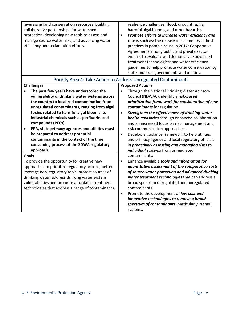| leveraging land conservation resources, building<br>collaborative partnerships for watershed<br>protection, developing new tools to assess and<br>manage source water risks, and advancing water<br>efficiency and reclamation efforts.                                                                                                                                                                                                                                                                                        | resilience challenges (flood, drought, spills,<br>harmful algal blooms, and other hazards).<br>Promote efforts to increase water efficiency and<br>$\bullet$<br>reuse, such as: the release of a summary of best<br>practices in potable reuse in 2017; Cooperative<br>Agreements among public and private sector<br>entities to evaluate and demonstrate advanced<br>treatment technologies; and water efficiency<br>guidelines to help promote water conservation by<br>state and local governments and utilities.<br>Priority Area 4: Take Action to Address Unregulated Contaminants                    |
|--------------------------------------------------------------------------------------------------------------------------------------------------------------------------------------------------------------------------------------------------------------------------------------------------------------------------------------------------------------------------------------------------------------------------------------------------------------------------------------------------------------------------------|-------------------------------------------------------------------------------------------------------------------------------------------------------------------------------------------------------------------------------------------------------------------------------------------------------------------------------------------------------------------------------------------------------------------------------------------------------------------------------------------------------------------------------------------------------------------------------------------------------------|
| <b>Challenges</b>                                                                                                                                                                                                                                                                                                                                                                                                                                                                                                              | <b>Proposed Actions</b>                                                                                                                                                                                                                                                                                                                                                                                                                                                                                                                                                                                     |
| The past few years have underscored the<br>$\bullet$<br>vulnerability of drinking water systems across<br>the country to localized contamination from<br>unregulated contaminants, ranging from algal<br>toxins related to harmful algal blooms, to<br>industrial chemicals such as perfluorinated<br>compounds (PFCs).<br>EPA, state primacy agencies and utilities must<br>$\bullet$<br>be prepared to address potential<br>contaminants in the context of the time<br>consuming process of the SDWA regulatory<br>approach. | Through the National Drinking Water Advisory<br>$\bullet$<br>Council (NDWAC), identify a risk-based<br>prioritization framework for consideration of new<br>contaminants for regulation.<br>Strengthen the effectiveness of drinking water<br>$\bullet$<br>health advisories through enhanced collaboration<br>and an increased focus on risk management and<br>risk communication approaches.<br>Develop a guidance framework to help utilities<br>$\bullet$<br>and primacy agency and local regulatory officials<br>in proactively assessing and managing risks to<br>individual systems from unregulated |
| <b>Goals</b><br>To provide the opportunity for creative new<br>approaches to prioritize regulatory actions, better<br>leverage non-regulatory tools, protect sources of<br>drinking water, address drinking water system<br>vulnerabilities and promote affordable treatment<br>technologies that address a range of contaminants.                                                                                                                                                                                             | contaminants.<br>Enhance available tools and information for<br>$\bullet$<br>quantitative assessment of the comparative costs<br>of source water protection and advanced drinking<br>water treatment technologies that can address a<br>broad spectrum of regulated and unregulated<br>contaminants.<br>Promote the development of low cost and<br>$\bullet$<br>innovative technologies to remove a broad<br>spectrum of contaminants, particularly in small<br>systems.                                                                                                                                    |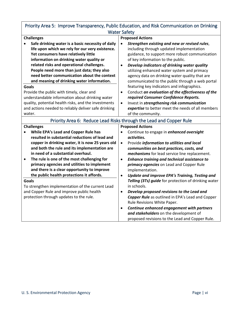| Priority Area 5: Improve Transparency, Public Education, and Risk Communication on Drinking |                                                                |  |  |
|---------------------------------------------------------------------------------------------|----------------------------------------------------------------|--|--|
| <b>Water Safety</b>                                                                         |                                                                |  |  |
| <b>Challenges</b>                                                                           | <b>Proposed Actions</b>                                        |  |  |
| Safe drinking water is a basic necessity of daily                                           | Strengthen existing and new or revised rules,<br>$\bullet$     |  |  |
| life upon which we rely for our very existence.                                             | including through updated implementation                       |  |  |
| Yet consumers have relatively little                                                        | guidance, to support more robust communication                 |  |  |
| information on drinking water quality or                                                    | of key information to the public.                              |  |  |
| related risks and operational challenges.                                                   | Develop indicators of drinking water quality<br>$\bullet$      |  |  |
| People need more than just data; they also                                                  | utilizing enhanced water system and primacy                    |  |  |
| need better communication about the context                                                 | agency data on drinking water quality that are                 |  |  |
| and meaning of drinking water information.                                                  | communicated to the public through a web portal                |  |  |
| <b>Goals</b>                                                                                | featuring key indicators and infographics.                     |  |  |
| Provide the public with timely, clear and                                                   | Conduct an evaluation of the effectiveness of the<br>$\bullet$ |  |  |
| understandable information about drinking water                                             | required Consumer Confidence Reports.                          |  |  |
| quality, potential health risks, and the investments                                        | Invest in strengthening risk communication<br>$\bullet$        |  |  |
| and actions needed to reliably deliver safe drinking                                        | expertise to better meet the needs of all members              |  |  |
| water.                                                                                      | of the community.                                              |  |  |
| Priority Area 6: Reduce Lead Risks through the Lead and Copper Rule                         |                                                                |  |  |
| <b>Challenges</b>                                                                           | <b>Proposed Actions</b>                                        |  |  |
| While EPA's Lead and Copper Rule has                                                        | Continue to engage in enhanced oversight<br>$\bullet$          |  |  |
| resulted in substantial reductions of lead and                                              | activities.                                                    |  |  |
| copper in drinking water, it is now 25 years old                                            | Provide information to utilities and local<br>$\bullet$        |  |  |
| and both the rule and its implementation are                                                | communities on best practices, costs, and                      |  |  |
| in need of a substantial overhaul.                                                          | mechanisms for lead service line replacement.                  |  |  |
| The rule is one of the most challenging for<br>$\bullet$                                    | Enhance training and technical assistance to<br>$\bullet$      |  |  |
| primacy agencies and utilities to implement                                                 | primacy agencies on Lead and Copper Rule                       |  |  |
| and there is a clear opportunity to improve                                                 | implementation.                                                |  |  |
| the public health protections it affords.                                                   | $\bullet$<br>Update and improve EPA's Training, Testing and    |  |  |
| Goals                                                                                       | Telling (3Ts) guide for protection of drinking water           |  |  |
| To strengthen implementation of the current Lead                                            | in schools.                                                    |  |  |
| and Copper Rule and improve public health                                                   | Develop proposed revisions to the Lead and<br>$\bullet$        |  |  |
| protection through updates to the rule.                                                     | Copper Rule as outlined in EPA's Lead and Copper               |  |  |
|                                                                                             | Rule Revisions White Paper.                                    |  |  |
|                                                                                             | Continue enhanced engagement with partners<br>$\bullet$        |  |  |
|                                                                                             | and stakeholders on the development of                         |  |  |
|                                                                                             | proposed revisions to the Lead and Copper Rule.                |  |  |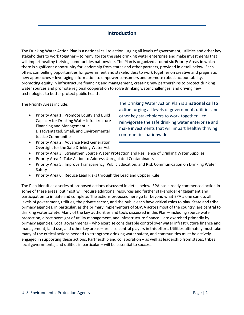## **Introduction**

<span id="page-8-0"></span>The Drinking Water Action Plan is a national call to action, urging all levels of government, utilities and other key stakeholders to work together – to reinvigorate the safe drinking water enterprise and make investments that will impart healthy thriving communities nationwide. The Plan is organized around six Priority Areas in which there is significant opportunity for leadership from states and other partners, provided in detail below. Each offers compelling opportunities for government and stakeholders to work together on creative and pragmatic new approaches – leveraging information to empower consumers and promote robust accountability, promoting equity in infrastructure financing and management, creating new partnerships to protect drinking water sources and promote regional cooperation to solve drinking water challenges, and driving new technologies to better protect public health.

The Priority Areas include:

• Priority Area 1: Promote Equity and Build Capacity for Drinking Water Infrastructure Financing and Management in Disadvantaged, Small, and Environmental Justice Communities

The Drinking Water Action Plan is a **national call to action**, urging all levels of government, utilities and other key stakeholders to work together – to reinvigorate the safe drinking water enterprise and make investments that will impart healthy thriving communities nationwide

- Priority Area 2: Advance Next Generation Oversight for the Safe Drinking Water Act
- Priority Area 3: Strengthen Source Water Protection and Resilience of Drinking Water Supplies
- Priority Area 4: Take Action to Address Unregulated Contaminants
- Priority Area 5: Improve Transparency, Public Education, and Risk Communication on Drinking Water Safety
- Priority Area 6: Reduce Lead Risks through the Lead and Copper Rule

The Plan identifies a series of proposed actions discussed in detail below. EPA has already commenced action in some of these areas, but most will require additional resources and further stakeholder engagement and participation to initiate and complete. The actions proposed here go far beyond what EPA alone can do; all levels of government, utilities, the private sector, and the public each have critical roles to play. State and tribal primacy agencies, in particular, as the primary implementers of SDWA across most of the country, are central to drinking water safety. Many of the key authorities and tools discussed in this Plan – including source water protection, direct oversight of utility management, and infrastructure finance – are exercised primarily by primacy agencies. Local governments – who exercise considerable control over water infrastructure finance and management, land use, and other key areas – are also central players in this effort. Utilities ultimately must take many of the critical actions needed to strengthen drinking water safety, and communities must be actively engaged in supporting these actions. Partnership and collaboration – as well as leadership from states, tribes, local governments, and utilities in particular – will be essential to success.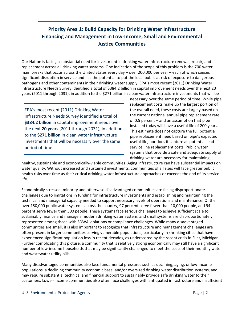# <span id="page-9-0"></span>**Priority Area 1: Build Capacity for Drinking Water Infrastructure Financing and Management in Low-Income, Small and Environmental Justice Communities**

Our Nation is facing a substantial need for investment in drinking water infrastructure renewal, repair, and replacement across all drinking water systems. One indication of the scope of this problem is the 700 water main breaks that occur across the United States every day – over 200,000 per year – each of which causes significant disruption in service and has the potential to put the local public at risk of exposure to dangerous pathogens and other contaminants in their drinking water supply. EPA's most recent (2011) Drinking Water Infrastructure Needs Survey identified a total of \$384.2 billion in capital improvement needs over the next 20 years (2011 through 2031), in addition to the \$271 billion in clean water infrastructure investments that will be

EPA's most recent (2011) Drinking Water Infrastructure Needs Survey identified a total of **\$384.2 billion** in capital improvement needs over the next **20 years** (2011 through 2031), in addition to the **\$271 billion** in clean water infrastructure investments that will be necessary over the same period of time

necessary over the same period of time. While pipe replacement costs make up the largest portion of the overall need, these costs are largely based on the current national annual pipe replacement rate of 0.5 percent – and an assumption that pipe installed today will have a useful life of 200 years. This estimate does not capture the full potential pipe replacement need based on pipe's expected useful life, nor does it capture all potential lead service line replacement costs. Public water systems that provide a safe and adequate supply of drinking water are necessary for maintaining

healthy, sustainable and economically-viable communities. Aging infrastructure can have substantial impacts on water quality. Without increased and sustained investments, communities of all sizes will face greater public health risks over time as their critical drinking water infrastructure approaches or exceeds the end of its service life.

Economically stressed, minority and otherwise disadvantaged communities are facing disproportionate challenges due to limitations in funding for infrastructure investments and establishing and maintaining the technical and managerial capacity needed to support necessary levels of operations and maintenance. Of the over 150,000 public water systems across the country, 97 percent serve fewer than 10,000 people, and 94 percent serve fewer than 500 people. These systems face serious challenges to achieve sufficient scale to sustainably finance and manage a modern drinking water system, and small systems are disproportionately represented among those with SDWA violations or compliance challenges. While many disadvantaged communities are small, it is also important to recognize that infrastructure and management challenges are often present in larger communities serving vulnerable populations, particularly in shrinking cities that have experienced significant population loss in recent decades, as underscored by the recent crisis in Flint, Michigan. Further complicating this picture, a community that is relatively strong economically may still have a significant number of low-income households that may be significantly challenged to meet the costs of their monthly water and wastewater utility bills.

Many disadvantaged communities also face fundamental pressures such as declining, aging, or low-income populations, a declining community economic base, and/or oversized drinking water distribution systems, and may require substantial technical and financial support to sustainably provide safe drinking water to their customers. Lower-income communities also often face challenges with antiquated infrastructure and insufficient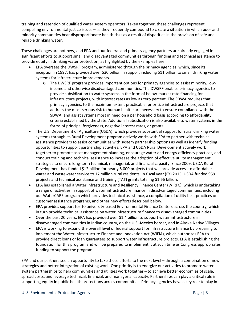training and retention of qualified water system operators. Taken together, these challenges represent compelling environmental justice issues – as they frequently compound to create a situation in which poor and minority communities bear disproportionate health risks as a result of disparities in the provision of safe and reliable drinking water.

These challenges are not new, and EPA and our federal and primacy agency partners are already engaged in significant efforts to support small and disadvantaged communities through funding and technical assistance to provide equity in drinking water protection, as highlighted by the examples here.

- EPA oversees the DWSRF program, administered through the primacy agencies, which, since its inception in 1997, has provided over \$30 billion in support including \$11 billion to small drinking water systems for infrastructure improvements.
	- o The DWSRF program provides important options for primacy agencies to assist minority, lowincome and otherwise disadvantaged communities. The DWSRF enables primacy agencies to provide subsidization to water systems in the form of below-market rate financing for infrastructure projects, with interest rates as low as zero percent. The SDWA requires that primacy agencies, to the maximum extent practicable, prioritize infrastructure projects that address the most serious risk to human health; are necessary to ensure compliance with the SDWA; and assist systems most in need on a per household basis according to affordability criteria established by the state. Additional subsidization is also available to water systems in the forms of principal forgiveness, negative interest rates, or grants.
- The U.S. Department of Agriculture (USDA), which provides substantial support for rural drinking water systems through its Rural Development program actively works with EPA to partner with technical assistance providers to assist communities with system partnership options as well as identify funding opportunities to support partnership activities. EPA and USDA Rural Development actively work together to promote asset management planning, encourage water and energy efficiency practices, and conduct training and technical assistance to increase the adoption of effective utility management strategies to ensure long-term technical, managerial, and financial capacity. Since 2009, USDA Rural Development has funded \$12 billion for nearly 5,000 projects that will provide access to affordable water and wastewater service to 17 million rural residents. In fiscal year (FY) 2015, USDA funded 959 projects and technical assistance and training (TAT) grants totaling \$1.66 billion.
- EPA has established a Water Infrastructure and Resiliency Finance Center (WIRFC), which is undertaking a range of activities in support of water infrastructure finance in disadvantaged communities, including our WaterCARE program which provides technical assistance, a compilation of utility best practices on customer assistance programs, and other new efforts described below.
- EPA provides support for 10 university-based Environmental Finance Centers across the country, which in turn provide technical assistance on water infrastructure finance to disadvantaged communities.
- Over the past 20 years, EPA has provided over \$1.4 billion to support water infrastructure in disadvantaged communities in Indian country, on the U.S.-Mexico border, and in Alaska Native Villages.
- EPA is working to expand the overall level of federal support for infrastructure finance by preparing to implement the Water Infrastructure Finance and Innovation Act (WIFIA), which authorizes EPA to provide direct loans or loan guarantees to support water infrastructure projects. EPA is establishing the foundation for this program and will be prepared to implement it at such time as Congress appropriates funding to support the program.

EPA and our partners see an opportunity to take these efforts to the next level – through a combination of new strategies and better integration of existing work. One priority is to energize our activities to promote water system partnerships to help communities and utilities work together – to achieve better economies of scale, spread costs, and leverage technical, financial, and managerial capacity. Partnerships can play a critical role in supporting equity in public health protections across communities. Primacy agencies have a key role to play in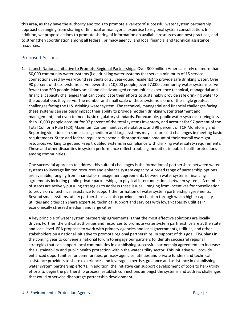this area, as they have the authority and tools to promote a variety of successful water system partnership approaches ranging from sharing of financial or managerial expertise to regional system consolidation. In addition, we propose actions to promote sharing of information on available resources and best practices, and to strengthen coordination among all federal, primacy agency, and local financial and technical assistance resources.

#### <span id="page-11-0"></span>Proposed Actions

1. Launch National Initiative to Promote Regional Partnerships: Over 300 million Americans rely on more than 50,000 community water systems (i.e., drinking water systems that serve a minimum of 15 service connections used by year-round residents or 25 year-round residents) to provide safe drinking water. Over 90 percent of these systems serve fewer than 10,000 people; over 27,000 community water systems serve fewer than 500 people. Many small and disadvantaged communities experience technical, managerial and financial capacity challenges that can complicate their efforts to sustainably provide safe drinking water to the populations they serve. The number and small scale of these systems is one of the single greatest challenges facing the U.S. drinking water system. The technical, managerial and financial challenges facing these systems can seriously impact their ability to provide modern drinking water treatment and management, and even to meet basic regulatory standards. For example, public water systems serving less than 10,000 people account for 97 percent of the total systems inventory, and account for 97 percent of the Total Coliform Rule (TCR) Maximum Contaminant Level violations, and 99 percent of TCR Monitoring and Reporting violations. In some cases, medium and large systems may also present challenges in meeting basic requirements. State and federal regulators spend a disproportionate amount of their overall oversight resources working to get and keep troubled systems in compliance with drinking water safety requirements. These and other disparities in system performance reflect troubling inequities in public health protections among communities.

One successful approach to address this suite of challenges is the formation of partnerships between water systems to leverage limited resources and enhance system capacity. A broad range of partnership options are available, ranging from financial or management agreements between water systems, financing agreements including public-private partnerships, to physical interconnections between systems. A number of states are actively pursuing strategies to address these issues – ranging from incentives for consolidation to provision of technical assistance to support the formation of water system partnership agreements. Beyond small systems, utility partnerships can also provide a mechanism through which higher capacity utilities and cities can share expertise, technical support and services with lower-capacity utilities in economically stressed medium and large cities.

A key principle of water system partnership agreements is that the most effective solutions are locally driven. Further, the critical authorities and resources to promote water system partnerships are at the state and local level. EPA proposes to work with primacy agencies and local governments, utilities, and other stakeholders on a national initiative to promote regional partnerships. In support of this goal, EPA plans in the coming year to convene a national forum to engage our partners to identify successful regional strategies that can support local communities in establishing successful partnership agreements to increase the sustainability and public health protection within the water utility sector. This initiative will provide enhanced opportunities for communities, primacy agencies, utilities and private funders and technical assistance providers to share experiences and leverage expertise, guidance and assistance in establishing water system partnership efforts. In addition, the initiative can support development of tools to help utility efforts to begin the partnership process, establish connections amongst the systems and address challenges that could otherwise discourage partnership development.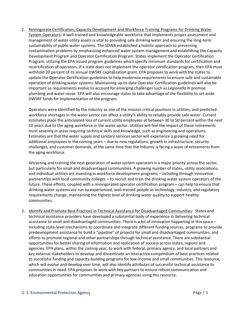2. Reinvigorate Certification, Capacity Development and Workforce Training Programs for Drinking Water System Operators: A well-trained and knowledgeable workforce that implements proper assessment and management of water utility assets is vital to providing safe drinking water and ensuring the long-term sustainability of public water systems. The SDWA established a holistic approach to preventing contamination problems by emphasizing enhanced water system management and establishing the Capacity Development Program and Operator Certification Program. States implement the Operator Certification Program, utilizing the EPA issued program guidelines which specify minimum standards for certification and recertification of operators. If a state does not implement the operator certification program, then EPA must withhold 20 percent of its annual DWSRF capitalization grant. EPA proposes to work with the states to update the Operator Certification guidelines to help modernize requirements to ensure safe and sustainable operation of drinking water systems. Maintaining up-to-date Operator Certification guidelines will also be important as requirements evolve to account for emerging challenges such as *Legionella* in premise plumbing and water reuse. EPA will also encourage states to take advantage of the flexibility to set aside DWSRF funds for implementation of the program.

Operators were identified by the industry as one of the mission critical positions in utilities, and predicted workforce shortages in the water sector can affect a utility's ability to reliably provide safe water. Current estimates place the anticipated loss of current utility employees at between 30 to 50 percent within the next 10 years due to the aging workforce in the water sector. Utilities will feel the impact of these retirements most severely in areas requiring technical skills and knowledge, such as engineering and operations. Estimates are that the water supply and sanitary services sector will experience a growing need for additional employees in the coming years – due to new regulations, growth in infrastructure, security challenges, and customer demands, at the same time that the industry is facing a wave of retirements from the aging workforce.

Attracting and training the next generation of water system operators is a major priority across the sector, but particularly for small and disadvantaged communities. A growing number of states, utility associations, and individual utilities are investing in workforce development programs – including through innovative partnerships with local community colleges – to recruit and train the drinking water system operators of the future. These efforts, coupled with a reinvigorated operator certification program – can help to ensure that drinking water systems are run by experienced, well-trained people as technology, industry, and regulatory requirements change, maintaining the highest level of drinking water quality to support healthy communities.

3. Identify and Promote Best Practices in Technical Assistance for Disadvantaged Communities: States and technical assistance providers have developed a substantial body of experience in delivering technical assistance to small and disadvantaged communities. There is a lot of innovation happening in this space – including state-level mechanisms to coordinate and integrate different funding sources, programs to provide predevelopment assistance to build a "pipeline" of projects for small and disadvantaged communities, and efforts to promote regional and other partnerships through technical assistance. There are substantial opportunities for better sharing of information and replication of success across states, regions and agencies. EPA plans, within the coming year, to work with federal, primacy agency, and local partners and key external stakeholders to develop and disseminate an interactive compendium of best practices related to successful funding and capacity-building programs for low-income and small communities. This resource, which will evolve and develop over time, will also identify attributes of successful technical assistance to communities in need. EPA proposes to work with key partners to ensure robust communication and education opportunities for communities and primacy agencies using this resource.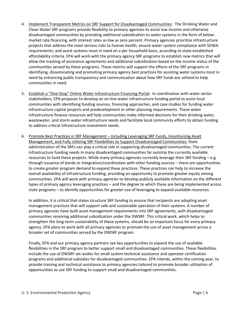- 4. Implement Transparent Metrics on SRF Support for Disadvantaged Communities: The Drinking Water and Clean Water SRF programs provide flexibility to primacy agencies to assist low-income and otherwise disadvantaged communities by providing additional subsidization to water systems in the form of belowmarket rate financing, with interest rates as low as zero percent. Primacy agencies prioritize infrastructure projects that address the most serious risks to human health; ensure water system compliance with SDWA requirements; and assist systems most in need on a per household basis, according to state-established affordability criteria. EPA will work with the primacy agency SRF programs to establish new metrics that will allow the tracking of assistance agreements and additional subsidization based on the income status of the communities served by these programs. These metrics will support the efforts of the SRF programs in identifying, disseminating and promoting primacy agency best practices for assisting water systems most in need by enhancing public transparency and communication about how SRF funds are utilized to help communities in need.
- 5. Establish a "One-Stop" Online Water Infrastructure Financing Portal: In coordination with water sector stakeholders, EPA proposes to develop an on-line water infrastructure funding portal to assist local communities with identifying funding sources, financing approaches, and case studies for funding water infrastructure capital projects and predevelopment or other planning requirements. These water infrastructure finance resources will help communities make informed decisions for their drinking water, wastewater, and storm water infrastructure needs and facilitate local community efforts to obtain funding to address critical infrastructure investment needs.
- 6. Promote Best Practices in SRF Management Including Leveraging SRF Funds, Incentivizing Asset Management, and Fully Utilizing SRF Flexibilities to Support Disadvantaged Communities: State administration of the SRFs can play a critical role in supporting disadvantaged communities. The current infrastructure funding needs in many disadvantaged communities far outstrip the currently available resources to fund these projects. While many primacy agencies currently leverage their SRF funding – e.g. through issuance of bonds or integration/coordination with other funding sources – there are opportunities to create greater program demand to expand these practices. These practices can help to increase the overall availability of infrastructure funding, providing an opportunity to promote greater equity among communities. EPA will work with primacy agencies to develop publicly available information on the different types of primacy agency leveraging practices – and the degree to which these are being implemented across state programs – to identify opportunities for greater use of leveraging to expand available resources.

In addition, it is critical that states structure SRF funding to ensure that recipients are adopting asset management practices that will support safe and sustainable operation of their systems. A number of primacy agencies have built asset management requirements into SRF agreements, with disadvantaged communities receiving additional subsidization under the DWSRF. This critical work, which helps to strengthen the long-term sustainability of these systems, should be an important focus for *every* primacy agency. EPA plans to work with all primacy agencies to promote the use of asset management across a broader set of communities served by the DWSRF program.

Finally, EPA and our primacy agency partners see key opportunities to expand the use of available flexibilities in the SRF program to better support small and disadvantaged communities. These flexibilities include the use of DWSRF set-asides for small system technical assistance and operator certification programs and additional subsidies for disadvantaged communities. EPA intends, within the coming year, to provide training and technical assistance to primacy agencies tailored to promote broader utilization of opportunities to use SRF funding to support small and disadvantaged communities.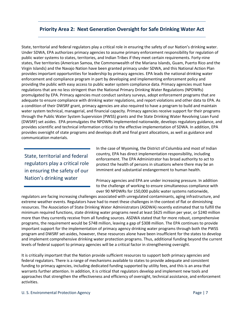## <span id="page-14-0"></span>**Priority Area 2: Next Generation Oversight for Safe Drinking Water Act**

State, territorial and federal regulators play a critical role in ensuring the safety of our Nation's drinking water. Under SDWA, EPA authorizes primacy agencies to assume primary enforcement responsibility for regulation of public water systems to states, territories, and Indian Tribes if they meet certain requirements. Forty-nine states, five territories (American Samoa, the Commonwealth of the Mariana Islands, Guam, Puerto Rico and the Virgin Islands) and the Navajo Nation have been granted primacy under SDWA, and this National Action Plan provides important opportunities for leadership by primacy agencies. EPA leads the national drinking water enforcement and compliance program in part by developing and implementing enforcement policy and providing the public with easy access to public water system compliance data. Primacy agencies must have regulations that are no less stringent than the National Primary Drinking Water Regulations (NPDWRs) promulgated by EPA. Primacy agencies must conduct sanitary surveys, adopt enforcement programs that are adequate to ensure compliance with drinking water regulations, and report violations and other data to EPA. As a condition of their DWSRF grant, primacy agencies are also required to have a program to build and maintain water system technical, managerial, and financial capacity. Primacy agencies receive support for their programs through the Public Water System Supervision (PWSS) grants and the State Drinking Water Revolving Loan Fund (DWSRF) set asides. EPA promulgates the NPDWRs implemented nationwide, develops regulatory guidance, and provides scientific and technical information critical to the effective implementation of SDWA. In addition, EPA provides oversight of state programs and develops draft and final grant allocations, as well as guidance and communication materials.

State, territorial and federal regulators play a critical role in ensuring the safety of our Nation's drinking water

In the case of Wyoming, the District of Columbia and most of Indian country, EPA has direct implementation responsibility, including enforcement. The EPA Administrator has broad authority to act to protect the health of persons in situations where there may be an imminent and substantial endangerment to human health.

Primacy agencies and EPA are under increasing pressure. In addition to the challenge of working to ensure simultaneous compliance with over 90 NPDWRs for 150,000 public water systems nationwide,

regulators are facing increasing challenges associated with unregulated contaminants, aging infrastructure, and extreme weather events. Regulators have had to meet these challenges in the context of flat or diminishing resources. The Association of State Drinking Water Administrators (ASDWA) recently estimated that to fulfill the minimum required functions, state drinking water programs need at least \$625 million per year, or \$240 million more than they currently receive from all funding sources. ASDWA stated that for more robust, comprehensive programs, the requirement would be \$748 million, leaving a gap of \$308 million. The EPA continues to provide important support for the implementation of primacy agency drinking water programs through both the PWSS program and DWSRF set-asides, however, these resources alone have been insufficient for the states to develop and implement comprehensive drinking water protection programs. Thus, additional funding beyond the current levels of federal support to primacy agencies will be a critical factor in strengthening oversight.

It is critically important that the Nation provide sufficient resources to support both primacy agencies and federal regulators. There is a range of mechanisms available to states to provide adequate and consistent funding to primacy agencies, including dedicated funding supported by utility fees, and this is an area that warrants further attention. In addition, it is critical that regulators develop and implement new tools and approaches that strengthen the effectiveness and efficiency of oversight, technical assistance, and enforcement activities.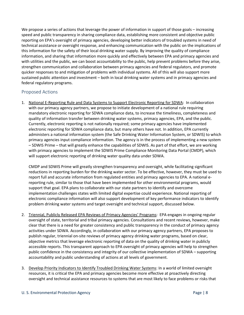We propose a series of actions that leverage the power of information in support of those goals – increasing speed and public transparency in sharing compliance data, establishing more consistent and objective public reporting on EPA's oversight of primacy agencies, developing better indicators of troubled systems in need of technical assistance or oversight response, and enhancing communication with the public on the implications of this information for the safety of their local drinking water supply. By improving the quality of compliance information, and sharing that information more quickly and effectively between EPA and primacy agencies and with utilities and the public, we can boost accountability to the public, help prevent problems before they arise, strengthen communication and collaboration between primacy agencies and federal regulators, and promote quicker responses to and mitigation of problems with individual systems. All of this will also support more sustained public attention and investment – both in local drinking water systems and in primacy agencies and federal regulatory programs.

#### <span id="page-15-0"></span>Proposed Actions

1. National E-Reporting Rule and Data Systems to Support Electronic Reporting for SDWA: In collaboration with our primacy agency partners, we propose to initiate development of a national rule requiring mandatory electronic reporting for SDWA compliance data, to increase the timeliness, completeness and quality of information transfer between drinking water systems, primacy agencies, EPA, and the public. Currently, electronic reporting is not nationally required; some primacy agencies have implemented electronic reporting for SDWA compliance data, but many others have not. In addition, EPA currently administers a national information system (the Safe Drinking Water Information System, or SDWIS) to which primacy agencies input compliance information. The agency is in the process of implementing a new system – SDWIS Prime – that will greatly enhance the capabilities of SDWIS. As part of that effort, we are working with primacy agencies to implement the SDWIS Prime Compliance Monitoring Data Portal (CMDP), which will support electronic reporting of drinking water quality data under SDWA.

CMDP and SDWIS Prime will greatly strengthen transparency and oversight, while facilitating significant reductions in reporting burden for the drinking water sector. To be effective, however, they must be used to report full and accurate information from regulated entities and primacy agencies to EPA. A national ereporting rule, similar to those that have been implemented for other environmental programs, would support that goal. EPA plans to collaborate with our state partners to identify and overcome implementation challenges states with limited digital expertise could experience. National reporting of electronic compliance information will also support development of key performance indicators to identify problem drinking water systems and target oversight and technical support, discussed below.

- 2. Triennial, Publicly Released EPA Reviews of Primacy Agencies' Programs: EPA engages in ongoing regular oversight of state, territorial and tribal primacy agencies. Consultations and recent reviews, however, make clear that there is a need for greater consistency and public transparency in the conduct of primacy agency activities under SDWA. Accordingly, in collaboration with our primacy agency partners, EPA proposes to publish regular, triennial on-site reviews of primacy agency drinking water programs, based on clear, objective metrics that leverage electronic reporting of data on the quality of drinking water in publicly accessible reports. This transparent approach to EPA oversight of primacy agencies will help to strengthen public confidence in the consistency and integrity of our collective implementation of SDWA – supporting accountability and public understanding of actions at all levels of government.
- 3. Develop Priority Indicators to Identify Troubled Drinking Water Systems: In a world of limited oversight resources, it is critical the EPA and primacy agencies become more effective at proactively directing oversight and technical assistance resources to systems that are most likely to face problems or risks that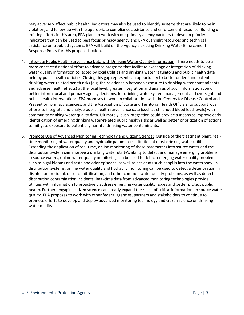may adversely affect public health. Indicators may also be used to identify systems that are likely to be in violation, and follow-up with the appropriate compliance assistance and enforcement response. Building on existing efforts in this area, EPA plans to work with our primacy agency partners to develop priority indicators that can be used to best focus primacy agency and EPA oversight resources and technical assistance on troubled systems. EPA will build on the Agency's existing Drinking Water Enforcement Response Policy for this proposed action.

- 4. Integrate Public Health Surveillance Data with Drinking Water Quality Information: There needs to be a more concerted national effort to advance programs that facilitate exchange or integration of drinking water quality information collected by local utilities and drinking water regulators and public health data held by public health officials. Closing this gap represents an opportunity to better understand potential drinking water-related health risks (e.g. the relationship between exposure to drinking water contaminants and adverse health effects) at the local level; greater integration and analysis of such information could better inform local and primacy agency decisions, for drinking water system management and oversight and public health interventions. EPA proposes to work in collaboration with the Centers for Disease Control and Prevention, primacy agencies, and the Association of State and Territorial Health Officials, to support local efforts to integrate and analyze public health surveillance data (such as childhood blood lead levels) with community drinking water quality data. Ultimately, such integration could provide a means to improve early identification of emerging drinking water-related public health risks as well as better prioritization of actions to mitigate exposure to potentially harmful drinking water contaminants.
- 5. Promote Use of Advanced Monitoring Technology and Citizen Science: Outside of the treatment plant, realtime monitoring of water quality and hydraulic parameters is limited at most drinking water utilities. Extending the application of real-time, online monitoring of these parameters into source water and the distribution system can improve a drinking water utility's ability to detect and manage emerging problems. In source waters, online water quality monitoring can be used to detect emerging water quality problems such as algal blooms and taste and odor episodes, as well as accidents such as spills into the waterbody. In distribution systems, online water quality and hydraulic monitoring can be used to detect a deterioration in disinfectant residual, onset of nitrification, and other common water quality problems, as well as detect distribution contamination incidents. Real-time data from advanced monitoring technologies provide utilities with information to proactively address emerging water quality issues and better protect public health. Further, engaging citizen science can greatly expand the reach of critical information on source water quality. EPA proposes to work with other federal agencies, partners and stakeholders to continue to promote efforts to develop and deploy advanced monitoring technology and citizen science on drinking water quality.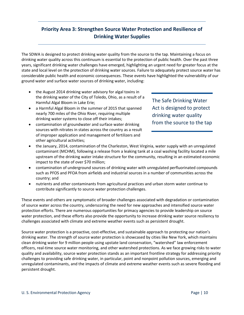# <span id="page-17-0"></span>**Priority Area 3: Strengthen Source Water Protection and Resilience of Drinking Water Supplies**

The SDWA is designed to protect drinking water quality from the source to the tap. Maintaining a focus on drinking water quality across this continuum is essential to the protection of public health. Over the past three years, significant drinking water challenges have emerged, highlighting an urgent need for greater focus at the state and local level on the protection of drinking water sources. Failure to adequately protect source water has considerable public health and economic consequences. These events have highlighted the vulnerability of our ground water and surface water sources of drinking water, including:

- the August 2014 drinking water advisory for algal toxins in the drinking water of the City of Toledo, Ohio, as a result of a Harmful Algal Bloom in Lake Erie;
- a Harmful Algal Bloom in the summer of 2015 that spanned nearly 700 miles of the Ohio River, requiring multiple drinking water systems to close off their intakes;
- contamination of groundwater and surface water drinking sources with nitrates in states across the country as a result of improper application and management of fertilizers and other agricultural activities;

The Safe Drinking Water Act is designed to protect drinking water quality from the source to the tap

- the January, 2014, contamination of the Charleston, West Virginia, water supply with an unregulated contaminant (MCHM), following a release from a leaking tank at a coal washing facility located a mile upstream of the drinking water intake structure for the community, resulting in an estimated economic impact to the state of over \$70 million;
- contamination of underground sources of drinking water with unregulated perfluorinated compounds such as PFOS and PFOA from airfields and industrial sources in a number of communities across the country; and
- nutrients and other contaminants from agricultural practices and urban storm water continue to contribute significantly to source water protection challenges.

These events and others are symptomatic of broader challenges associated with degradation or contamination of source water across the country, underscoring the need for new approaches and intensified source water protection efforts. There are numerous opportunities for primacy agencies to provide leadership on source water protection, and these efforts also provide the opportunity to increase drinking water source resiliency to challenges associated with climate and extreme weather events such as persistent drought.

Source water protection is a proactive, cost-effective, and sustainable approach to protecting our nation's drinking water. The strength of source water protection is showcased by cities like New York, which maintains clean drinking water for 9 million people using upstate land conservation, "watershed" law enforcement officers, real-time source water monitoring, and other watershed protections. As we face growing risks to water quality and availability, source water protection stands as an important frontline strategy for addressing priority challenges to providing safe drinking water, in particular, point and nonpoint pollution sources, emerging and unregulated contaminants, and the impacts of climate and extreme weather events such as severe flooding and persistent drought.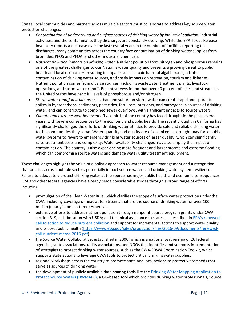States, local communities and partners across multiple sectors must collaborate to address key source water protection challenges.

- *Contamination of underground and surface sources of drinking water by industrial pollution.* Industrial activities, and the contaminants they discharge, are constantly evolving. While the EPA Toxics Release Inventory reports a decrease over the last several years in the number of facilities reporting toxic discharges, many communities across the country face contamination of drinking water supplies from bromides, PFOS and PFOA, and other industrial chemicals.
- *Nutrient pollution impacts on drinking water.* Nutrient pollution from nitrogen and phosphorous remains one of the greatest challenges to our Nation's water quality and presents a growing threat to public health and local economies, resulting in impacts such as toxic harmful algal blooms, nitrate contamination of drinking water sources, and costly impacts on recreation, tourism and fisheries. Nutrient pollution comes from diverse sources, including wastewater treatment plants, livestock operations, and storm water runoff. Recent surveys found that over 40 percent of lakes and streams in the United States have harmful levels of phosphorous and/or nitrogen.
- *Storm water runoff in urban areas.* Urban and suburban storm water can create rapid and sporadic spikes in hydrocarbons, sediments, pesticides, fertilizers, nutrients, and pathogens in sources of drinking water, and can contribute to combined sewer overflows, with significant impacts to source waters.
- *Climate and extreme weather events.* Two-thirds of the country has faced drought in the past several years, with severe consequences to the economy and public health. The recent drought in California has significantly challenged the efforts of drinking water utilities to provide safe and reliable drinking water to the communities they serve. Water quantity and quality are often linked, as drought may force public water systems to revert to emergency drinking water sources of lesser quality, which can significantly raise treatment costs and complexity. Water availability challenges may also amplify the impact of contamination. The country is also experiencing more frequent and larger storms and extreme flooding, which can compromise source waters and damage water utility treatment equipment.

These challenges highlight the value of a holistic approach to water resource management and a recognition that policies across multiple sectors potentially impact source waters and drinking water system resilience. Failure to adequately protect drinking water at the source has major public health and economic consequences. EPA and other federal agencies have already made considerable strides through a broad range of efforts including:

- promulgation of the Clean Water Rule, which clarifies the scope of surface water protection under the CWA, including coverage of headwater streams that are the source of drinking water for over 100 million (nearly in one in three) Americans;
- extensive efforts to address nutrient pollution through nonpoint-source program grants under CWA section 319; collaboration with USDA; and technical assistance to states, as described i[n EPA's renewed](https://www.epa.gov/sites/production/files/2016-09/documents/renewed-call-nutrient-memo-2016.pdf)  [call to action to reduce nutrient pollution](https://www.epa.gov/sites/production/files/2016-09/documents/renewed-call-nutrient-memo-2016.pdf) and support for incremental actions to support water quality and protect public health [\(https://www.epa.gov/sites/production/files/2016-09/documents/renewed](https://www.epa.gov/sites/production/files/2016-09/documents/renewed-call-nutrient-memo-2016.pdf)[call-nutrient-memo-2016.pdf\)](https://www.epa.gov/sites/production/files/2016-09/documents/renewed-call-nutrient-memo-2016.pdf)
- the Source Water Collaborative, established in 2006, which is a national partnership of 26 federal agencies, state associations, utility associations, and NGOs that identifies and supports implementation of strategies to protect drinking water sources, such as the CWA-SDWA Coordination Toolkit, which supports state actions to leverage CWA tools to protect critical drinking water supplies;
- regional workshops across the country to promote state and local actions to protect watersheds that serve as sources of drinking water;
- the development of publicly available data-sharing tools like th[e Drinking Water Mapping Application to](https://www.epa.gov/sourcewaterprotection/dwmaps)  [Protect Source Waters \(DWMAPS\),](https://www.epa.gov/sourcewaterprotection/dwmaps) a GIS-based tool which provides drinking water professionals, Source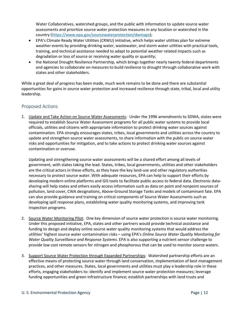Water Collaboratives, watershed groups, and the public with information to update source water assessments and prioritize source water protection measures in any location or watershed in the country [\(https://www.epa.gov/sourcewaterprotection/dwmaps\)](https://www.epa.gov/sourcewaterprotection/dwmaps);

- EPA's Climate Ready Water Utilities (CRWU) initiative, which helps water utilities plan for extreme weather events by providing drinking water, wastewater, and storm water utilities with practical tools, training, and technical assistance needed to adapt to potential weather related impacts such as degradation or loss of source or receiving water quality or quantity;
- the National Drought Resilience Partnership, which brings together nearly twenty federal departments and agencies to collaborate on measures to build resilience to drought through collaborative work with states and other stakeholders.

While a great deal of progress has been made, much work remains to be done and there are substantial opportunities for gains in source water protection and increased resilience through state, tribal, local and utility leadership.

## <span id="page-19-0"></span>Proposed Actions

1. Update and Take Action on Source Water Assessments: Under the 1996 amendments to SDWA, states were required to establish Source Water Assessment programs for all public water systems to provide local officials, utilities and citizens with appropriate information to protect drinking water sources against contamination. EPA strongly encourages states, tribes, local governments and utilities across the country to update and strengthen source water assessments, to share information with the public on source water risks and opportunities for mitigation, and to take actions to protect drinking water sources against contamination or overuse.

Updating and strengthening source water assessments will be a shared effort among all levels of government, with states taking the lead. States, tribes, local governments, utilities and other stakeholders are the critical actors in these efforts, as they have the key land-use and other regulatory authorities necessary to protect source water. With adequate resources, EPA can help to support their efforts by developing modern online platforms and GIS tools to facilitate public access to federal data. Electronic datasharing will help states and others easily access information such as data on point and nonpoint sources of pollution, land cover, CWA designations, Above-Ground Storage Tanks and models of contaminant fate. EPA can also provide guidance and training on critical components of Source Water Assessments such as developing spill response plans, establishing water quality monitoring systems, and improving tank inspection programs.

- 2. Source Water Monitoring Pilot: One key dimension of source water protection is source water monitoring. Under this proposed initiative, EPA, states and other partners would provide technical assistance and funding to design and deploy online source water quality monitoring systems that would address the utilities' highest source water contamination risks – using EPA's *Online Source Water Quality Monitoring for Water Quality Surveillance and Response Systems*. EPA is also supporting a nutrient sensor challenge to provide low cost remote sensors for nitrogen and phosphorous that can be used to monitor source waters.
- 3. Support Source Water Protection through Expanded Partnerships: Watershed partnership efforts are an effective means of protecting source water through land conservation, implementation of best management practices, and other measures. States, local governments and utilities must play a leadership role in these efforts, engaging stakeholders to: identify and implement source water protection measures; leverage funding opportunities and green infrastructure finance; establish partnerships with land trusts and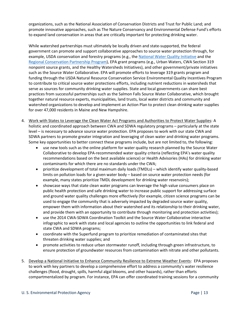organizations, such as the National Association of Conservation Districts and Trust for Public Land; and promote innovative approaches, such as The Nature Conservancy and Environmental Defense Fund's efforts to expand land conservation in areas that are critically important for protecting drinking water.

While watershed partnerships must ultimately be locally driven and state-supported, the federal government can promote and support collaborative approaches to source water protection through, for example, USDA conservation and forestry programs (e.g., the [National Water Quality Initiative](https://www.nrcs.usda.gov/wps/portal/nrcs/detail/national/water/?cid=stelprdb1047761) and the [Regional Conservation Partnership Program\)](http://www.nrcs.usda.gov/wps/portal/nrcs/main/national/programs/farmbill/rcpp/), EPA grant programs (e.g., Urban Waters, CWA Section 319 nonpoint source grants, and the Healthy Watersheds Initiatives), and other government/private initiatives such as the Source Water Collaborative. EPA will promote efforts to leverage 319 grants program and funding through the USDA Natural Resource Conservation Service Environmental Quality Incentives Program to contribute to critical source water protections efforts, including nutrient reductions in watersheds that serve as sources for community drinking water supplies. State and local governments can share best practices from successful partnerships such as the Salmon Falls Source Water Collaborative, which brought together natural resource experts, municipalities, land trusts, local water districts and community and watershed organizations to develop and implement an Action Plan to protect clean drinking water supplies for over 47,000 residents in Maine and New Hampshire.

- 4. Work with States to Leverage the Clean Water Act Programs and Authorities to Protect Water Supplies: A holistic and coordinated approach between CWA and SDWA regulatory programs – particularly at the state level – is necessary to advance source water protection. EPA proposes to work with our state CWA and SDWA partners to promote greater integration and leveraging of clean water and drinking water programs. Some key opportunities to better connect these programs include, but are not limited to, the following:
	- use new tools such as the online platform for water quality research planned by the Source Water Collaborative to develop EPA-recommended water quality criteria (reflecting EPA's water quality recommendations based on the best available science) or Health Advisories (HAs) for drinking water contaminants for which there are no standards under the CWA;
	- prioritize development of total maximum daily loads (TMDLs) which identify water quality-based limits on pollution loads for a given water body – based on source water protection needs (for example, many states prioritize TMDL development for drinking water reservoirs);
	- showcase ways that state clean water programs can leverage the high value consumers place on public health protection and safe drinking water to increase public support for addressing surface and ground water quality challenges more effectively (for example, citizen science programs can be used to engage the community that is adversely impacted by degraded source water quality, empower them with information about their watershed and its relationship to their drinking water, and provide them with an opportunity to contribute through monitoring and protection activities);
	- use the 2014 CWA-SDWA Coordination Toolkit and the Source Water Collaborative interactive infographic to work with state and local agencies to outline the opportunities to link federal and state CWA and SDWA programs;
	- coordinate with the Superfund program to prioritize remediation of contaminated sites that threaten drinking water supplies; and
	- promote activities to reduce urban stormwater runoff, including through green infrastructure, to ensure protection of groundwater resources from contamination with nitrate and other pollutants.
- 5. Develop a National Initiative to Enhance Community Resilience to Extreme Weather Events: EPA proposes to work with key partners to develop a comprehensive effort to address a community's water resilience challenges (flood, drought, spills, harmful algal blooms, and other hazards), rather than efforts compartmentalized by program. For instance, EPA can offer coordinated training sessions for a community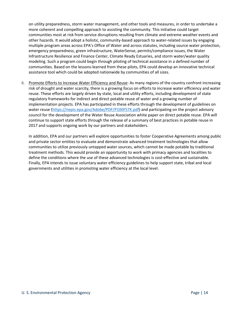on utility preparedness, storm water management, and other tools and measures, in order to undertake a more coherent and compelling approach to assisting the community. This initiative could target communities most at risk from service disruptions resulting from climate and extreme weather events and other hazards. It would adopt a holistic, community-based approach to water-related issues by engaging multiple program areas across EPA's Office of Water and across statutes, including source water protection, emergency preparedness, green infrastructure, WaterSense, permits/compliance issues, the Water Infrastructure Resilience and Finance Center, Climate Ready Estuaries, and storm water/water quality modeling. Such a program could begin through piloting of technical assistance in a defined number of communities. Based on the lessons-learned from these pilots, EPA could develop an innovative technical assistance tool which could be adopted nationwide by communities of all sizes.

6. Promote Efforts to Increase Water Efficiency and Reuse: As many regions of the country confront increasing risk of drought and water scarcity, there is a growing focus on efforts to increase water efficiency and water reuse. These efforts are largely driven by state, local and utility efforts, including development of state regulatory frameworks for indirect and direct potable reuse of water and a growing number of implementation projects. EPA has participated in these efforts through the development of guidelines on water reuse [\(https://nepis.epa.gov/Adobe/PDF/P100FS7K.pdf\)](https://nepis.epa.gov/Adobe/PDF/P100FS7K.pdf) and participating on the project advisory council for the development of the Water Reuse Association white paper on direct potable reuse. EPA will continue to support state efforts through the release of a summary of best practices in potable reuse in 2017 and supports ongoing work by our partners and stakeholders.

In addition, EPA and our partners will explore opportunities to foster Cooperative Agreements among public and private sector entities to evaluate and demonstrate advanced treatment technologies that allow communities to utilize previously untapped water sources, which cannot be made potable by traditional treatment methods. This would provide an opportunity to work with primacy agencies and localities to define the conditions where the use of these advanced technologies is cost-effective and sustainable. Finally, EPA intends to issue voluntary water efficiency guidelines to help support state, tribal and local governments and utilities in promoting water efficiency at the local level.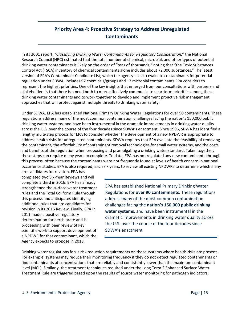# **Priority Area 4: Proactive Strategy to Address Unregulated Contaminants**

<span id="page-22-0"></span>In its 2001 report, "*[Classifying Drinking Water Contaminants for Regulatory Consideration,](http://www.nap.edu/catalog/10080/classifying-drinking-water-contaminants-for-regulatory-consideration)*" the National Research Council (NRC) estimated that the total number of chemical, microbial, and other types of potential drinking water contaminants is likely on the order of "tens of thousands," noting that "the Toxic Substances Control Act (TSCA) inventory of chemical contaminants alone includes about 72,000 substances." The latest version of EPA's Contaminant Candidate List, which the agency uses to evaluate contaminants for potential regulation under SDWA, includes 97 chemicals/groups and 12 microbial contaminants EPA considers to represent the highest priorities. One of the key insights that emerged from our consultations with partners and stakeholders is that there is a need both to more effectively communicate near-term priorities among these drinking water contaminants and to work together to develop and implement proactive risk management approaches that will protect against multiple threats to drinking water safety.

Under SDWA, EPA has established National Primary Drinking Water Regulations for over 90 contaminants. These regulations address many of the most common contamination challenges facing the nation's 150,000 public drinking water systems, and have been instrumental in the dramatic improvements in drinking water quality across the U.S. over the course of the four decades since SDWA's enactment. Since 1996, SDWA has identified a lengthy multi-step process for EPA to consider whether the development of a new NPDWR is appropriate to address health risks for unregulated contaminants. SDWA requires that EPA evaluate the feasibility of removing the contaminant, the affordability of contaminant removal technologies for small water systems, and the costs and benefits of the regulation when proposing and promulgating a drinking water standard. Taken together, these steps can require many years to complete. To date, EPA has not regulated any new contaminants through this process, often because the contaminants were not frequently found at levels of health concern in national occurrence studies. EPA is also required, each six years, to review all existing NPDWRs to determine which if any

are candidates for revision. EPA has completed two Six-Year Reviews and will complete a third in 2016. EPA has already strengthened the surface water treatment rules and the Total Coliform Rule through this process and anticipates identifying additional rules that are candidates for revision in its 2016 Review. Finally, EPA in 2011 made a positive regulatory determination for perchlorate and is proceeding with peer review of key scientific work to support development of a NPDWR for that contaminant, which the Agency expects to propose in 2018.

EPA has established National Primary Drinking Water Regulations for **over 90 contaminants***.* These regulations address many of the most common contamination challenges facing the **nation's 150,000 public drinking water systems**, and have been instrumental in the dramatic improvements in drinking water quality across the U.S. over the course of the four decades since SDWA's enactment

Drinking water regulations focus risk reduction requirements on those systems where health risks are present. For example, systems may reduce their monitoring frequency if they do not detect regulated contaminants or find contaminants at concentrations that are reliably and consistently lower than the maximum contaminant level (MCL). Similarly, the treatment techniques required under the Long Term 2 Enhanced Surface Water Treatment Rule are triggered based upon the results of source water monitoring for pathogen indicators.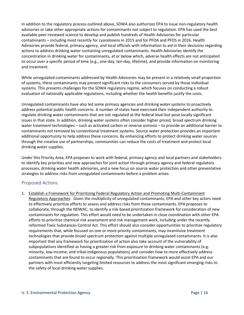In addition to the regulatory process outlined above, SDWA also authorizes EPA to issue non-regulatory health advisories or take other appropriate actions for contaminants not subject to regulation. EPA has used the best available peer-reviewed science to develop and publish hundreds of Health Advisories for particular contaminants – including most recently for cyanotoxins in 2015 and for PFOA and PFOS in 2016. Health Advisories provide federal, primacy agency, and local officials with information to aid in their decisions regarding actions to address drinking water containing unregulated contaminants. Health Advisories identify the concentration in drinking water for contaminants, at or below which, adverse health effects are not anticipated to occur over a specific period of time (e.g., one-day, ten-day, lifetime), and provide information on monitoring and treatment.

While unregulated contaminants addressed by Health Advisories may be present in a relatively small proportion of systems, these contaminants may present significant risks to the consumers served by those individual systems. This presents challenges for the SDWA regulatory regime, which focuses on conducting a robust evaluation of nationally applicable regulations, including whether the health benefits justify the costs.

Unregulated contaminants have also led some primacy agencies and drinking water systems to proactively address potential public health concerns. A number of states have exercised their independent authority to regulate drinking water contaminants that are not regulated at the federal level but pose locally significant issues in that state. In addition, drinking water systems often consider higher priced, broad spectrum drinking water treatment technologies – such as activated carbon or reverse osmosis – to provide an additional barrier to contaminants not removed by conventional treatment systems. Source water protection provides an important additional opportunity to help address these concerns. By enhancing efforts to protect drinking water sources through the creative use of partnerships, communities can reduce the costs of treatment and protect local drinking water supplies.

Under this Priority Area, EPA proposes to work with federal, primacy agency and local partners and stakeholders to identify key priorities and new approaches for joint action through primacy agency and federal regulatory processes, drinking water health advisories, and a new focus on source water protection and other preventative strategies to address risks from unregulated contaminants before a problem arises.

#### <span id="page-23-0"></span>Proposed Actions

1. Establish a Framework for Prioritizing Federal Regulatory Action and Promoting Multi-Contaminant Regulatory Approaches: Given the multiplicity of unregulated contaminants, EPA and other key actors need to effectively prioritize efforts to assess and address risks from these contaminants. EPA proposes to collaborate, through the NDWAC, to identify a risk-based prioritization framework for consideration of new contaminants for regulation. This effort would need to be undertaken in close coordination with other EPA efforts to prioritize chemical risk assessment and risk management work, including under the recently reformed Toxic Substances Control Act. This effort should also consider opportunities to prioritize regulatory requirements that, while focused on one or more priority contaminants, may incentivize treatment technologies that provide broad spectrum protection against multiple unregulated contaminants. It is also important that any framework for prioritization of action also take account of the vulnerability of subpopulations identified as having a greater risk from exposure to drinking water contaminants (e.g. minority, low-income, and tribal-indigenous populations) and consider how to more effectively address contaminants that are found to occur regionally. This prioritization framework would assist EPA and our partners with most efficiently targeting limited resources to address the most significant emerging risks to the safety of local drinking water supplies.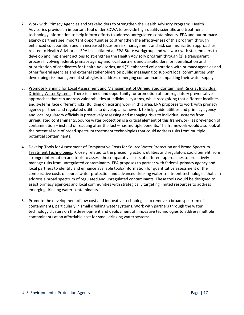- 2. Work with Primacy Agencies and Stakeholders to Strengthen the Health Advisory Program: Health Advisories provide an important tool under SDWA to provide high-quality scientific and treatment technology information to help inform efforts to address unregulated contaminants. EPA and our primacy agency partners see important opportunities to strengthen the effectiveness of this program through enhanced collaboration and an increased focus on risk management and risk communication approaches related to Health Advisories. EPA has initiated an EPA-State workgroup and will work with stakeholders to develop and implement actions to strengthen the Health Advisory program through (1) a transparent process involving federal, primacy agency and local partners and stakeholders for identification and prioritization of candidates for Health Advisories, and (2) enhanced collaboration with primacy agencies and other federal agencies and external stakeholders on public messaging to support local communities with developing risk management strategies to address emerging contaminants impacting their water supply.
- 3. Promote Planning for Local Assessment and Management of Unregulated Contaminant Risks at Individual Drinking Water Systems: There is a need and opportunity for promotion of non-regulatory preventative approaches that can address vulnerabilities at individual systems, while recognizing that different localities and systems face different risks. Building on existing work in this area, EPA proposes to work with primacy agency partners and regulated utilities to develop a framework to help guide utilities and primacy agency and local regulatory officials in proactively assessing and managing risks to individual systems from unregulated contaminants. Source water protection is a critical element of this framework, as prevention of contamination – instead of reacting after the fact – has multiple benefits. The framework would also look at the potential role of broad-spectrum treatment technologies that could address risks from multiple potential contaminants.
- 4. Develop Tools for Assessment of Comparative Costs for Source Water Protection and Broad-Spectrum Treatment Technologies: Closely related to the preceding action, utilities and regulators could benefit from stronger information and tools to assess the comparative costs of different approaches to proactively manage risks from unregulated contaminants. EPA proposes to partner with federal, primacy agency and local partners to identify and enhance available tools/information for quantitative assessment of the comparative costs of source water protection and advanced drinking water treatment technologies that can address a broad spectrum of regulated and unregulated contaminants. These tools would be designed to assist primacy agencies and local communities with strategically targeting limited resources to address emerging drinking water contaminants.
- 5. Promote the development of low cost and innovative technologies to remove a broad spectrum of contaminants, particularly in small drinking water systems. Work with partners through the water technology clusters on the development and deployment of innovative technologies to address multiple contaminants at an affordable cost for small drinking water systems.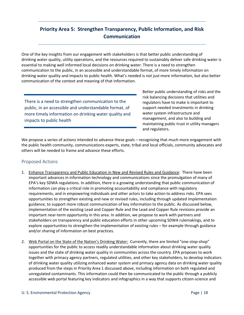# <span id="page-25-0"></span>**Priority Area 5: Strengthen Transparency, Public Information, and Risk Communication**

One of the key insights from our engagement with stakeholders is that better public understanding of drinking water quality, utility operations, and the resources required to sustainably deliver safe drinking water is essential to making well informed local decisions on drinking water. There is a need to strengthen communication to the public, in an accessible and understandable format, of more timely information on drinking water quality and impacts to public health. What's needed is not just more information, but also better communication of the context and meaning of that information.

There is a need to strengthen communication to the public, in an accessible and understandable format, of more timely information on drinking water quality and impacts to public health

Better public understanding of risks and the risk balancing decisions that utilities and regulators have to make is important to support needed investments in drinking water system infrastructure and management, and also to building and maintaining public trust in utility managers and regulators.

We propose a series of actions intended to advance these goals – recognizing that much more engagement with the public health community, communications experts, state, tribal and local officials, community advocates and others will be needed to frame and advance these efforts.

#### <span id="page-25-1"></span>Proposed Actions

- 1. Enhance Transparency and Public Education in New and Revised Rules and Guidance: There have been important advances in information technology and communications since the promulgation of many of EPA's key SDWA regulations. In addition, there is a growing understanding that public communication of information can play a critical role in promoting accountability and compliance with regulatory requirements, and in empowering individuals and other actors to take action to address risks. EPA sees opportunities to strengthen existing and new or revised rules, including through updated implementation guidance, to support more robust communication of key information to the public. As discussed below, implementation of the existing Lead and Copper Rule and the Lead and Copper Rule revisions provide an important near-term opportunity in this area. In addition, we propose to work with partners and stakeholders on transparency and public education efforts in other upcoming SDWA rulemakings, and to explore opportunities to strengthen the implementation of existing rules – for example through guidance and/or sharing of information on best practices.
- 2. Web Portal on the State of the Nation's Drinking Water: Currently, there are limited "one-stop-shop" opportunities for the public to access readily understandable information about drinking water quality issues and the state of drinking water quality in communities across the country. EPA proposes to work together with primacy agency partners, regulated utilities, and other key stakeholders, to develop indicators of drinking water quality utilizing enhanced water system and primacy agency data on drinking water quality produced from the steps in Priority Area 1 discussed above, including information on both regulated and unregulated contaminants. This information could then be communicated to the public through a publicly accessible web portal featuring key indicators and infographics in a way that supports citizen-science and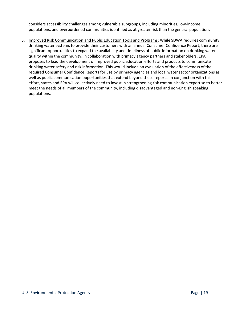considers accessibility challenges among vulnerable subgroups, including minorities, low-income populations, and overburdened communities identified as at greater risk than the general population**.** 

3. Improved Risk Communication and Public Education Tools and Programs: While SDWA requires community drinking water systems to provide their customers with an annual Consumer Confidence Report, there are significant opportunities to expand the availability and timeliness of public information on drinking water quality within the community. In collaboration with primacy agency partners and stakeholders, EPA proposes to lead the development of improved public education efforts and products to communicate drinking water safety and risk information. This would include an evaluation of the effectiveness of the required Consumer Confidence Reports for use by primacy agencies and local water sector organizations as well as public communication opportunities that extend beyond these reports. In conjunction with this effort, states and EPA will collectively need to invest in strengthening risk communication expertise to better meet the needs of all members of the community, including disadvantaged and non-English speaking populations.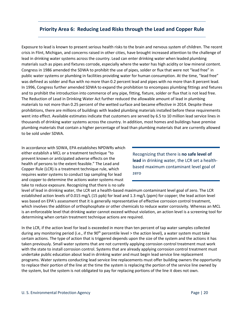## <span id="page-27-0"></span>**Priority Area 6: Reducing Lead Risks through the Lead and Copper Rule**

Exposure to lead is known to present serious health risks to the brain and nervous system of children. The recent crisis in Flint, Michigan, and concerns raised in other cities, have brought increased attention to the challenge of lead in drinking water systems across the country. Lead can enter drinking water when leaded plumbing materials such as pipes and fixtures corrode, especially where the water has high acidity or low mineral content. Congress in 1986 amended the SDWA to prohibit the use of pipes, solder or flux that were not "lead free" in public water systems or plumbing in facilities providing water for human consumption. At the time, "lead free" was defined as solder and flux with no more than 0.2 percent lead and pipes with no more than 8 percent lead. In 1996, Congress further amended SDWA to expand the prohibition to encompass plumbing fittings and fixtures and to prohibit the introduction into commerce of any pipe, fitting, fixture, solder or flux that is not lead free. The Reduction of Lead in Drinking Water Act further reduced the allowable amount of lead in plumbing materials to not more than 0.25 percent of the wetted surface and became effective in 2014. Despite these prohibitions, there are millions of buildings with leaded plumbing materials installed before these requirements went into effect. Available estimates indicate that customers are served by 6.5 to 10 million lead service lines in thousands of drinking water systems across the country. In addition, most homes and buildings have premise plumbing materials that contain a higher percentage of lead than plumbing materials that are currently allowed to be sold under SDWA.

In accordance with SDWA, EPA establishes NPDWRs which either establish a MCL or a treatment technique "to prevent known or anticipated adverse effects on the health of persons to the extent feasible." The Lead and Copper Rule (LCR) is a treatment technique rule, which requires water systems to conduct tap sampling for lead and copper to determine the actions water systems must take to reduce exposure. Recognizing that there is no safe

Recognizing that there is **no safe level of lead** in drinking water, the LCR set a healthbased maximum contaminant level goal of zero

level of lead in drinking water, the LCR set a health-based maximum contaminant level goal of zero. The LCR established action levels of 0.015 mg/L (15 ppb) for lead and 1.3 mg/L (ppm) for copper; the lead action level was based on EPA's assessment that it is generally representative of effective corrosion control treatment, which involves the addition of orthophosphate or other chemicals to reduce water corrosivity. Whereas an MCL is an enforceable level that drinking water cannot exceed without violation, an action level is a screening tool for determining when certain treatment technique actions are required.

In the LCR, if the action level for lead is exceeded in more than ten percent of tap water samples collected during any monitoring period (i.e., if the  $90<sup>th</sup>$  percentile level > the action level), a water system must take certain actions. The type of action that is triggered depends upon the size of the system and the actions it has taken previously. Small water systems that are not currently applying corrosion control treatment must work with the state to install corrosion control. Systems that are already applying corrosion control treatment must undertake public education about lead in drinking water and must begin lead service line replacement programs. Water systems conducting lead service line replacements must offer building owners the opportunity to replace their portion of the line at the time the system is replacing the portion of the service line owned by the system, but the system is not obligated to pay for replacing portions of the line it does not own.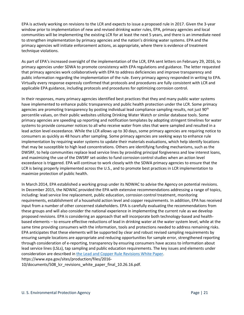EPA is actively working on revisions to the LCR and expects to issue a proposed rule in 2017. Given the 3-year window prior to implementation of new and revised drinking water rules, EPA, primacy agencies and local communities will be implementing the existing LCR for at least the next 5 years, and there is an immediate need to strengthen implementation by primacy agencies and the nation's drinking water systems. EPA and the primacy agencies will initiate enforcement actions, as appropriate, where there is evidence of treatment technique violations.

As part of EPA's increased oversight of the implementation of the LCR, EPA sent letters on February 29, 2016, to primacy agencies under SDWA to promote consistency with EPA regulations and guidance. The letter requested that primacy agencies work collaboratively with EPA to address deficiencies and improve transparency and public information regarding the implementation of the rule. Every primacy agency responded in writing to EPA. Virtually every response expressly confirmed that protocols and procedures are fully consistent with LCR and applicable EPA guidance, including protocols and procedures for optimizing corrosion control.

In their responses, many primacy agencies identified best practices that they and many public water systems have implemented to enhance public transparency and public health protection under the LCR. Some primacy agencies are promoting transparency by posting individual lead compliance sampling results, not just 90<sup>th</sup> percentile values, on their public websites utilizing Drinking Water Watch or similar database tools. Some primacy agencies are speeding up reporting and notification templates by adopting stringent timelines for water systems to provide consumer notices to all who receive water from sites that were sampled and resulted in a lead action level exceedance. While the LCR allows up to 30 days, some primacy agencies are requiring notice to consumers as quickly as 48 hours after sampling. Some primacy agencies are seeking ways to enhance rule implementation by requiring water systems to update their materials evaluations, which help identify locations that may be susceptible to high lead concentrations. Others are identifying funding mechanisms, such as the DWSRF, to help communities replace lead service lines by providing principal forgiveness and low interest loans, and maximizing the use of the DWSRF set-asides to fund corrosion control studies when an action level exceedance is triggered. EPA will continue to work closely with the SDWA primacy agencies to ensure that the LCR is being properly implemented across the U.S., and to promote best practices in LCR implementation to maximize protection of public health.

In March 2014, EPA established a working group under its NDWAC to advise the Agency on potential revisions. In December 2015, the NDWAC provided the EPA with extensive recommendations addressing a range of topics, including: lead service line replacement, public education, corrosion control treatment, monitoring requirements, establishment of a household action level and copper requirements. In addition, EPA has received input from a number of other concerned stakeholders. EPA is carefully evaluating the recommendations from these groups and will also consider the national experience in implementing the current rule as we develop proposed revisions. EPA is considering an approach that will incorporate both technology-based and healthbased elements – to ensure effective reductions of lead in drinking water at the water system level, while at the same time providing consumers with the information, tools and protections needed to address remaining risks. EPA anticipates that these elements will be supported by clear and robust revised sampling requirements by ensuring sample locations are appropriate and reducing opportunities for sample error, strengthened reporting through consideration of e-reporting, transparency by ensuring consumers have access to information about lead service lines (LSLs), tap sampling and public education requirements. The key issues and elements under consideration are described i[n the Lead and Copper Rule Revisions White Paper.](https://www.epa.gov/sites/production/files/2016-10/documents/508_lcr_revisions_white_paper_final_10.26.16.pdf) https://www.epa.gov/sites/production/files/2016-

10/documents/508\_lcr\_revisions\_white\_paper\_final\_10.26.16.pdf.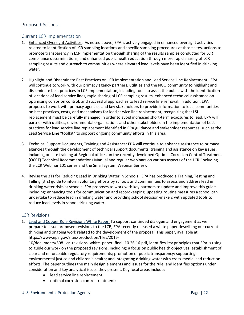#### <span id="page-29-0"></span>Proposed Actions

## <span id="page-29-1"></span>Current LCR implementation

- 1. Enhanced Oversight Activities: As noted above, EPA is actively engaged in enhanced oversight activities related to identification of LCR sampling locations and specific sampling procedures at those sites, actions to promote transparency in LCR implementation through sharing of the results samples conducted for LCR compliance determinations, and enhanced public health education through more rapid sharing of LCR sampling results and outreach to communities where elevated lead levels have been identified in drinking water.
- 2. Highlight and Disseminate Best Practices on LCR Implementation and Lead Service Line Replacement: EPA will continue to work with our primacy agency partners, utilities and the NGO community to highlight and disseminate best practices in LCR implementation, including tools to assist the public with the identification of locations of lead service lines, rapid sharing of LCR sampling results, enhanced technical assistance on optimizing corrosion control, and successful approaches to lead service line removal. In addition, EPA proposes to work with primacy agencies and key stakeholders to provide information to local communities on best practices, costs, and mechanisms for lead service line replacement, recognizing that LSL replacement must be carefully managed in order to avoid increased short-term exposures to lead. EPA will partner with utilities, environmental organizations and other stakeholders in the implementation of best practices for lead service line replacement identified in EPA guidance and stakeholder resources, such as the Lead Service Line "toolkit" to support ongoing community efforts in this area.
- 3. Technical Support Documents, Training and Assistance: EPA will continue to enhance assistance to primacy agencies through the development of technical support documents, training and assistance on key issues, including on-site training at Regional offices on the recently developed Optimal Corrosion Control Treatment (OCCT) Technical Recommendations Manual and regular webinars on various aspects of the LCR (including the LCR Webinar 101 series and the Small System Webinar Series).
- 4. Revise the 3Ts for Reducing Lead in Drinking Water in Schools: EPA has produced a Training, Testing and Telling (3Ts) guide to inform voluntary efforts by schools and communities to assess and address lead in drinking water risks at schools. EPA proposes to work with key partners to update and improve this guide including: enhancing tools for communication and recordkeeping, updating routine measures a school can undertake to reduce lead in drinking water and providing school decision-makers with updated tools to reduce lead levels in school drinking water.

#### <span id="page-29-2"></span>LCR Revisions

1. [Lead and Copper Rule Revisions White Paper:](https://www.epa.gov/sites/production/files/2016-10/documents/508_lcr_revisions_white_paper_final_10.26.16.pdf) To support continued dialogue and engagement as we prepare to issue proposed revisions to the LCR, EPA recently released a white paper describing our current thinking and ongoing work related to the development of the proposal. This paper, available at https://www.epa.gov/sites/production/files/2016-

10/documents/508\_lcr\_revisions\_white\_paper\_final\_10.26.16.pdf, identifies key principles that EPA is using to guide our work on the proposed revisions, including: a focus on public health objectives; establishment of clear and enforceable regulatory requirements; promotion of public transparency; supporting environmental justice and children's health; and integrating drinking water with cross-media lead reduction efforts. The paper outlines the main design elements and issues for the rule, and identifies options under consideration and key analytical issues they present. Key focal areas include:

- lead service line replacement;
- optimal corrosion control treatment;

#### U. S. Environmental Protection Agency Page | 22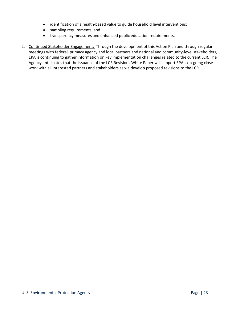- identification of a health-based value to guide household level interventions;
- sampling requirements; and
- transparency measures and enhanced public education requirements.
- 2. Continued Stakeholder Engagement: Through the development of this Action Plan and through regular meetings with federal, primacy agency and local partners and national and community-level stakeholders, EPA is continuing to gather information on key implementation challenges related to the current LCR. The Agency anticipates that the issuance of the LCR Revisions White Paper will support EPA's on-going close work with all interested partners and stakeholders as we develop proposed revisions to the LCR.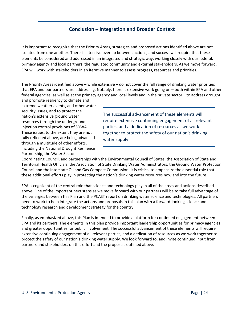## **Conclusion – Integration and Broader Context**

<span id="page-31-0"></span>It is important to recognize that the Priority Areas, strategies and proposed actions identified above are not isolated from one another. There is intensive overlap between actions, and success will require that these elements be considered and addressed in an integrated and strategic way, working closely with our federal, primacy agency and local partners, the regulated community and external stakeholders. As we move forward, EPA will work with stakeholders in an iterative manner to assess progress, resources and priorities.

The Priority Areas identified above – while extensive – do not cover the full range of drinking water priorities that EPA and our partners are addressing. Notably, there is extensive work going on – both within EPA and other federal agencies, as well as at the primacy agency and local levels and in the private sector – to address drought

and promote resiliency to climate and extreme weather events, and other water security issues, and to protect the nation's extensive ground water resources through the underground injection control provisions of SDWA. These issues, to the extent they are not fully reflected above, are being advanced through a multitude of other efforts, including the National Drought Resilience Partnership, the Water Sector

The successful advancement of these elements will require extensive continuing engagement of all relevant parties, and a dedication of resources as we work together to protect the safety of our nation's drinking water supply

Coordinating Council, and partnerships with the Environmental Council of States, the Association of State and Territorial Health Officials, the Association of State Drinking Water Administrators, the Ground Water Protection Council and the Interstate Oil and Gas Compact Commission. It is critical to emphasize the essential role that these additional efforts play in protecting the nation's drinking water resources now and into the future.

EPA is cognizant of the central role that science and technology play in all of the areas and actions described above. One of the important next steps as we move forward with our partners will be to take full advantage of the synergies between this Plan and the PCAST report on drinking water science and technologies. All partners need to work to help integrate the actions and proposals in this plan with a forward-looking science and technology research and development strategy for the country.

Finally, as emphasized above, this Plan is intended to provide a platform for continued engagement between EPA and its partners. The elements in this plan provide important leadership opportunities for primacy agencies and greater opportunities for public involvement. The successful advancement of these elements will require extensive continuing engagement of all relevant parties, and a dedication of resources as we work together to protect the safety of our nation's drinking water supply. We look forward to, and invite continued input from, partners and stakeholders on this effort and the proposals outlined above.